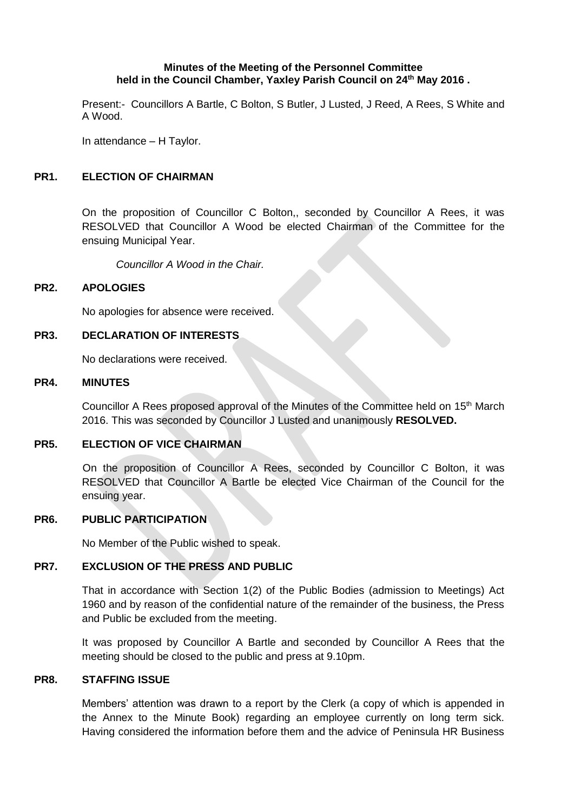#### **Minutes of the Meeting of the Personnel Committee held in the Council Chamber, Yaxley Parish Council on 24th May 2016 .**

Present:- Councillors A Bartle, C Bolton, S Butler, J Lusted, J Reed, A Rees, S White and A Wood.

In attendance – H Taylor.

## **PR1. ELECTION OF CHAIRMAN**

On the proposition of Councillor C Bolton,, seconded by Councillor A Rees, it was RESOLVED that Councillor A Wood be elected Chairman of the Committee for the ensuing Municipal Year.

*Councillor A Wood in the Chair.*

#### **PR2. APOLOGIES**

No apologies for absence were received.

### **PR3. DECLARATION OF INTERESTS**

No declarations were received.

#### **PR4. MINUTES**

Councillor A Rees proposed approval of the Minutes of the Committee held on 15<sup>th</sup> March 2016. This was seconded by Councillor J Lusted and unanimously **RESOLVED.**

#### **PR5. ELECTION OF VICE CHAIRMAN**

On the proposition of Councillor A Rees, seconded by Councillor C Bolton, it was RESOLVED that Councillor A Bartle be elected Vice Chairman of the Council for the ensuing year.

#### **PR6. PUBLIC PARTICIPATION**

No Member of the Public wished to speak.

## **PR7. EXCLUSION OF THE PRESS AND PUBLIC**

That in accordance with Section 1(2) of the Public Bodies (admission to Meetings) Act 1960 and by reason of the confidential nature of the remainder of the business, the Press and Public be excluded from the meeting.

It was proposed by Councillor A Bartle and seconded by Councillor A Rees that the meeting should be closed to the public and press at 9.10pm.

#### **PR8. STAFFING ISSUE**

Members' attention was drawn to a report by the Clerk (a copy of which is appended in the Annex to the Minute Book) regarding an employee currently on long term sick. Having considered the information before them and the advice of Peninsula HR Business